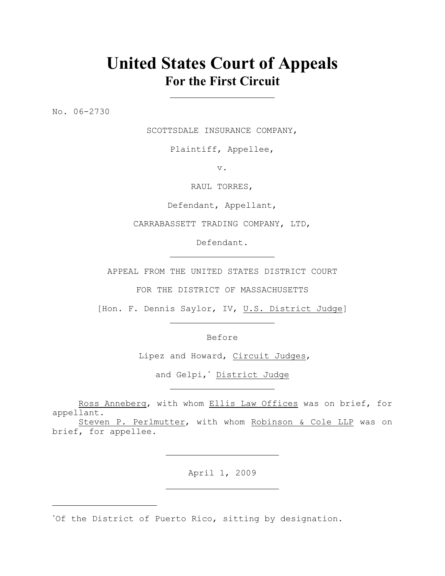# **United States Court of Appeals For the First Circuit**

No. 06-2730

SCOTTSDALE INSURANCE COMPANY,

Plaintiff, Appellee,

v.

RAUL TORRES,

Defendant, Appellant,

CARRABASSETT TRADING COMPANY, LTD,

Defendant.

APPEAL FROM THE UNITED STATES DISTRICT COURT

FOR THE DISTRICT OF MASSACHUSETTS

[Hon. F. Dennis Saylor, IV, U.S. District Judge]

Before

Lipez and Howard, Circuit Judges,

and Gelpi,\* District Judge

Ross Anneberg, with whom Ellis Law Offices was on brief, for appellant.

Steven P. Perlmutter, with whom Robinson & Cole LLP was on brief, for appellee.

April 1, 2009

 $*$ Of the District of Puerto Rico, sitting by designation.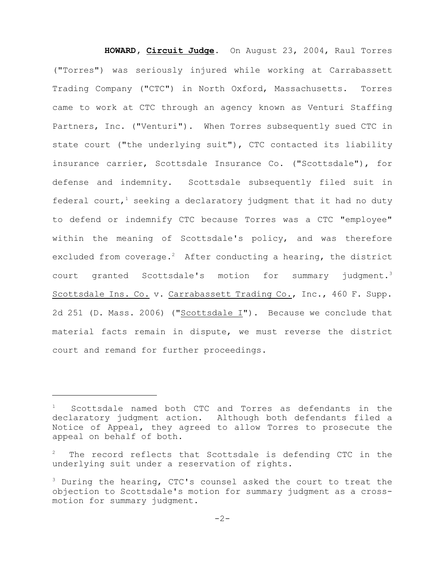**HOWARD, Circuit Judge**. On August 23, 2004, Raul Torres ("Torres") was seriously injured while working at Carrabassett Trading Company ("CTC") in North Oxford, Massachusetts. Torres came to work at CTC through an agency known as Venturi Staffing Partners, Inc. ("Venturi"). When Torres subsequently sued CTC in state court ("the underlying suit"), CTC contacted its liability insurance carrier, Scottsdale Insurance Co. ("Scottsdale"), for defense and indemnity. Scottsdale subsequently filed suit in federal court,<sup>1</sup> seeking a declaratory judgment that it had no duty to defend or indemnify CTC because Torres was a CTC "employee" within the meaning of Scottsdale's policy, and was therefore excluded from coverage.<sup>2</sup> After conducting a hearing, the district court granted Scottsdale's motion for summary judgment.<sup>3</sup> Scottsdale Ins. Co. v. Carrabassett Trading Co., Inc., 460 F. Supp. 2d 251 (D. Mass. 2006) ("Scottsdale I"). Because we conclude that material facts remain in dispute, we must reverse the district court and remand for further proceedings.

Scottsdale named both CTC and Torres as defendants in the declaratory judgment action. Although both defendants filed a Notice of Appeal, they agreed to allow Torres to prosecute the appeal on behalf of both.

The record reflects that Scottsdale is defending CTC in the underlying suit under a reservation of rights.

 $3$  During the hearing, CTC's counsel asked the court to treat the objection to Scottsdale's motion for summary judgment as a crossmotion for summary judgment.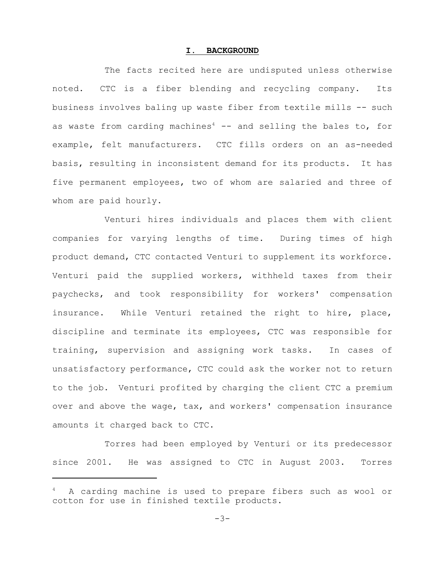#### **I. BACKGROUND**

The facts recited here are undisputed unless otherwise noted. CTC is a fiber blending and recycling company. Its business involves baling up waste fiber from textile mills -- such as waste from carding machines<sup>4</sup>  $-$  and selling the bales to, for example, felt manufacturers. CTC fills orders on an as-needed basis, resulting in inconsistent demand for its products. It has five permanent employees, two of whom are salaried and three of whom are paid hourly.

Venturi hires individuals and places them with client companies for varying lengths of time. During times of high product demand, CTC contacted Venturi to supplement its workforce. Venturi paid the supplied workers, withheld taxes from their paychecks, and took responsibility for workers' compensation insurance. While Venturi retained the right to hire, place, discipline and terminate its employees, CTC was responsible for training, supervision and assigning work tasks. In cases of unsatisfactory performance, CTC could ask the worker not to return to the job. Venturi profited by charging the client CTC a premium over and above the wage, tax, and workers' compensation insurance amounts it charged back to CTC.

Torres had been employed by Venturi or its predecessor since 2001. He was assigned to CTC in August 2003. Torres

A carding machine is used to prepare fibers such as wool or cotton for use in finished textile products.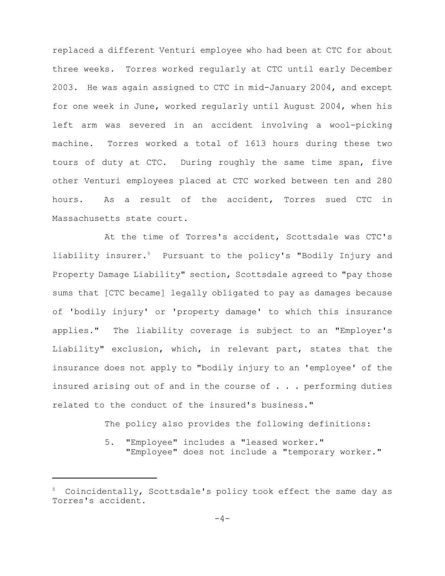replaced a different Venturi employee who had been at CTC for about three weeks. Torres worked regularly at CTC until early December 2003. He was again assigned to CTC in mid-January 2004, and except for one week in June, worked regularly until August 2004, when his left arm was severed in an accident involving a wool-picking machine. Torres worked a total of 1613 hours during these two tours of duty at CTC. During roughly the same time span, five other Venturi employees placed at CTC worked between ten and 280 hours. As a result of the accident, Torres sued CTC in Massachusetts state court.

At the time of Torres's accident, Scottsdale was CTC's liability insurer.<sup>5</sup> Pursuant to the policy's "Bodily Injury and Property Damage Liability" section, Scottsdale agreed to "pay those sums that [CTC became] legally obligated to pay as damages because of 'bodily injury' or 'property damage' to which this insurance applies." The liability coverage is subject to an "Employer's Liability" exclusion, which, in relevant part, states that the insurance does not apply to "bodily injury to an 'employee' of the insured arising out of and in the course of . . . performing duties related to the conduct of the insured's business."

The policy also provides the following definitions:

5. "Employee" includes a "leased worker." "Employee" does not include a "temporary worker."

 $5$  Coincidentally, Scottsdale's policy took effect the same day as Torres's accident.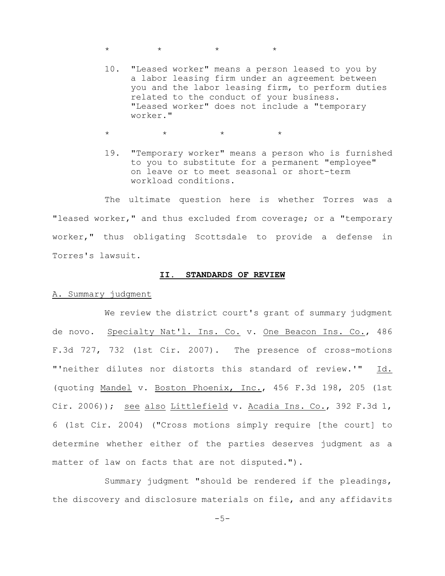$\star$   $\star$   $\star$   $\star$ 

10. "Leased worker" means a person leased to you by a labor leasing firm under an agreement between you and the labor leasing firm, to perform duties related to the conduct of your business. "Leased worker" does not include a "temporary worker."

 $\star$   $\star$   $\star$   $\star$ 

19. "Temporary worker" means a person who is furnished to you to substitute for a permanent "employee" on leave or to meet seasonal or short-term workload conditions.

The ultimate question here is whether Torres was a "leased worker," and thus excluded from coverage; or a "temporary worker," thus obligating Scottsdale to provide a defense in Torres's lawsuit.

#### **II. STANDARDS OF REVIEW**

#### A. Summary judgment

We review the district court's grant of summary judgment de novo. Specialty Nat'l. Ins. Co. v. One Beacon Ins. Co., 486 F.3d 727, 732 (1st Cir. 2007). The presence of cross-motions "'neither dilutes nor distorts this standard of review.'" Id. (quoting Mandel v. Boston Phoenix, Inc., 456 F.3d 198, 205 (1st Cir. 2006)); <u>see also Littlefield</u> v. <u>Acadia Ins. Co.</u>, 392 F.3d 1, 6 (1st Cir. 2004) ("Cross motions simply require [the court] to determine whether either of the parties deserves judgment as a matter of law on facts that are not disputed.").

Summary judgment "should be rendered if the pleadings, the discovery and disclosure materials on file, and any affidavits

-5-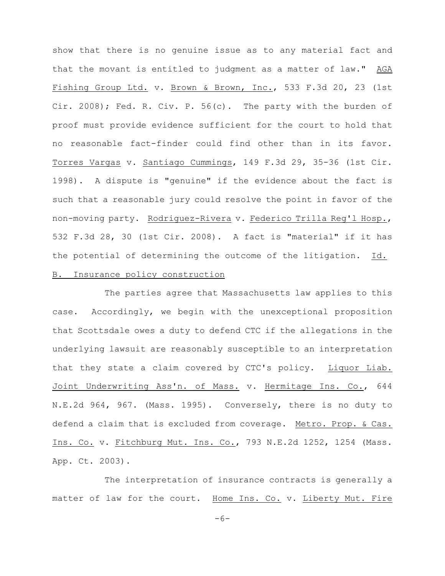show that there is no genuine issue as to any material fact and that the movant is entitled to judgment as a matter of law." AGA Fishing Group Ltd. v. Brown & Brown, Inc., 533 F.3d 20, 23 (1st Cir. 2008); Fed. R. Civ. P. 56(c). The party with the burden of proof must provide evidence sufficient for the court to hold that no reasonable fact-finder could find other than in its favor. Torres Vargas v. Santiago Cummings, 149 F.3d 29, 35-36 (1st Cir. 1998). A dispute is "genuine" if the evidence about the fact is such that a reasonable jury could resolve the point in favor of the non-moving party. Rodriguez-Rivera v. Federico Trilla Reg'l Hosp., 532 F.3d 28, 30 (1st Cir. 2008). A fact is "material" if it has the potential of determining the outcome of the litigation. Id. B. Insurance policy construction

The parties agree that Massachusetts law applies to this case. Accordingly, we begin with the unexceptional proposition that Scottsdale owes a duty to defend CTC if the allegations in the underlying lawsuit are reasonably susceptible to an interpretation that they state a claim covered by CTC's policy. Liquor Liab. Joint Underwriting Ass'n. of Mass. v. Hermitage Ins. Co., 644 N.E.2d 964, 967. (Mass. 1995). Conversely, there is no duty to defend a claim that is excluded from coverage. Metro. Prop. & Cas. Ins. Co. v. Fitchburg Mut. Ins. Co., 793 N.E.2d 1252, 1254 (Mass. App. Ct. 2003).

The interpretation of insurance contracts is generally a matter of law for the court. Home Ins. Co. v. Liberty Mut. Fire

-6-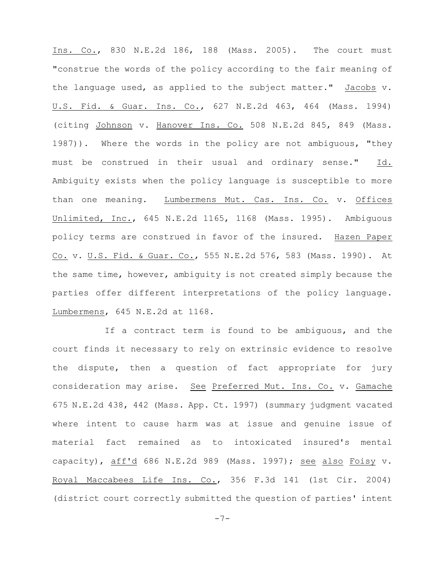Ins. Co., 830 N.E.2d 186, 188 (Mass. 2005). The court must "construe the words of the policy according to the fair meaning of the language used, as applied to the subject matter." Jacobs v. U.S. Fid. & Guar. Ins. Co., 627 N.E.2d 463, 464 (Mass. 1994) (citing Johnson v. Hanover Ins. Co. 508 N.E.2d 845, 849 (Mass. 1987)). Where the words in the policy are not ambiguous, "they must be construed in their usual and ordinary sense." Id. Ambiguity exists when the policy language is susceptible to more than one meaning. Lumbermens Mut. Cas. Ins. Co. v. Offices Unlimited, Inc., 645 N.E.2d 1165, 1168 (Mass. 1995). Ambiguous policy terms are construed in favor of the insured. Hazen Paper Co. v. U.S. Fid. & Guar. Co., 555 N.E.2d 576, 583 (Mass. 1990). At the same time, however, ambiguity is not created simply because the parties offer different interpretations of the policy language. Lumbermens, 645 N.E.2d at 1168.

If a contract term is found to be ambiguous, and the court finds it necessary to rely on extrinsic evidence to resolve the dispute, then a question of fact appropriate for jury consideration may arise. See Preferred Mut. Ins. Co. v. Gamache 675 N.E.2d 438, 442 (Mass. App. Ct. 1997) (summary judgment vacated where intent to cause harm was at issue and genuine issue of material fact remained as to intoxicated insured's mental capacity), aff'd 686 N.E.2d 989 (Mass. 1997); see also Foisy v. Royal Maccabees Life Ins. Co., 356 F.3d 141 (1st Cir. 2004) (district court correctly submitted the question of parties' intent

-7-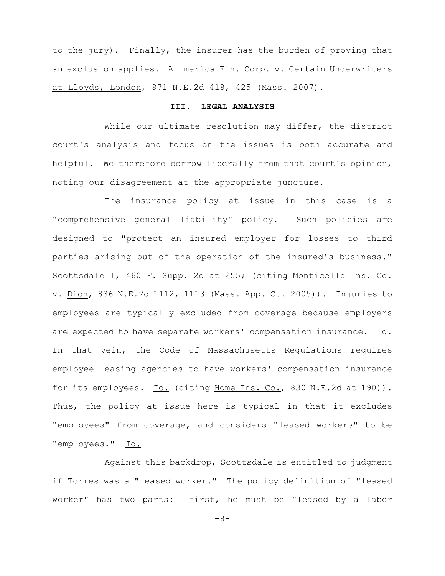to the jury). Finally, the insurer has the burden of proving that an exclusion applies. Allmerica Fin. Corp. v. Certain Underwriters at Lloyds, London, 871 N.E.2d 418, 425 (Mass. 2007).

### **III. LEGAL ANALYSIS**

While our ultimate resolution may differ, the district court's analysis and focus on the issues is both accurate and helpful. We therefore borrow liberally from that court's opinion, noting our disagreement at the appropriate juncture.

The insurance policy at issue in this case is a "comprehensive general liability" policy. Such policies are designed to "protect an insured employer for losses to third parties arising out of the operation of the insured's business." Scottsdale I, 460 F. Supp. 2d at 255; (citing Monticello Ins. Co. v. Dion, 836 N.E.2d 1112, 1113 (Mass. App. Ct. 2005)). Injuries to employees are typically excluded from coverage because employers are expected to have separate workers' compensation insurance. Id. In that vein, the Code of Massachusetts Regulations requires employee leasing agencies to have workers' compensation insurance for its employees. Id. (citing Home Ins. Co., 830 N.E.2d at 190)). Thus, the policy at issue here is typical in that it excludes "employees" from coverage, and considers "leased workers" to be "employees." Id.

Against this backdrop, Scottsdale is entitled to judgment if Torres was a "leased worker." The policy definition of "leased worker" has two parts: first, he must be "leased by a labor

-8-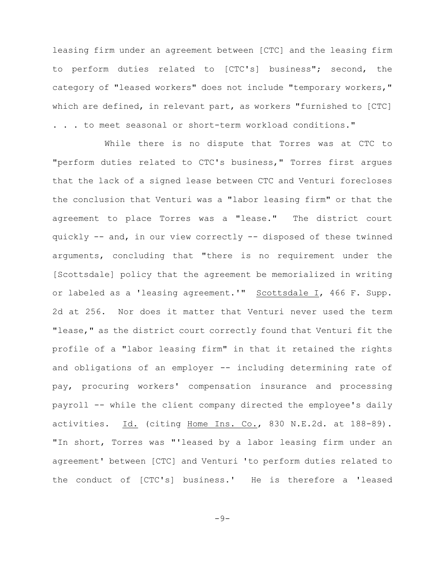leasing firm under an agreement between [CTC] and the leasing firm to perform duties related to [CTC's] business"; second, the category of "leased workers" does not include "temporary workers," which are defined, in relevant part, as workers "furnished to [CTC] . . . to meet seasonal or short-term workload conditions."

While there is no dispute that Torres was at CTC to "perform duties related to CTC's business," Torres first argues that the lack of a signed lease between CTC and Venturi forecloses the conclusion that Venturi was a "labor leasing firm" or that the agreement to place Torres was a "lease." The district court quickly -- and, in our view correctly -- disposed of these twinned arguments, concluding that "there is no requirement under the [Scottsdale] policy that the agreement be memorialized in writing or labeled as a 'leasing agreement.'" Scottsdale I, 466 F. Supp. 2d at 256. Nor does it matter that Venturi never used the term "lease," as the district court correctly found that Venturi fit the profile of a "labor leasing firm" in that it retained the rights and obligations of an employer -- including determining rate of pay, procuring workers' compensation insurance and processing payroll -- while the client company directed the employee's daily activities. Id. (citing Home Ins. Co., 830 N.E.2d. at 188-89). "In short, Torres was "'leased by a labor leasing firm under an agreement' between [CTC] and Venturi 'to perform duties related to the conduct of [CTC's] business.' He is therefore a 'leased

 $-9-$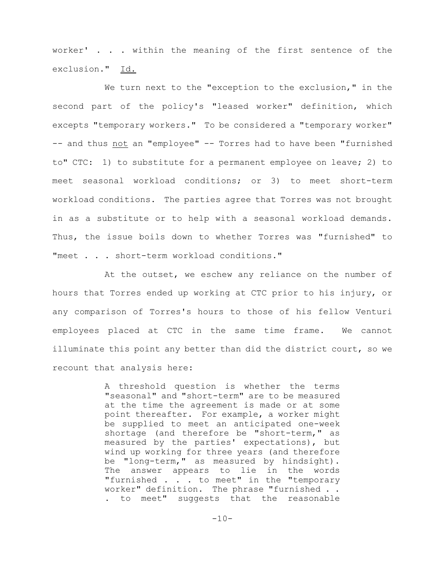worker' . . . within the meaning of the first sentence of the exclusion." Id.

We turn next to the "exception to the exclusion," in the second part of the policy's "leased worker" definition, which excepts "temporary workers." To be considered a "temporary worker" -- and thus not an "employee" -- Torres had to have been "furnished to" CTC: 1) to substitute for a permanent employee on leave; 2) to meet seasonal workload conditions; or 3) to meet short-term workload conditions. The parties agree that Torres was not brought in as a substitute or to help with a seasonal workload demands. Thus, the issue boils down to whether Torres was "furnished" to "meet . . . short-term workload conditions."

At the outset, we eschew any reliance on the number of hours that Torres ended up working at CTC prior to his injury, or any comparison of Torres's hours to those of his fellow Venturi employees placed at CTC in the same time frame. We cannot illuminate this point any better than did the district court, so we recount that analysis here:

> A threshold question is whether the terms "seasonal" and "short-term" are to be measured at the time the agreement is made or at some point thereafter. For example, a worker might be supplied to meet an anticipated one-week shortage (and therefore be "short-term," as measured by the parties' expectations), but wind up working for three years (and therefore be "long-term," as measured by hindsight). The answer appears to lie in the words "furnished . . . to meet" in the "temporary worker" definition. The phrase "furnished . . . to meet" suggests that the reasonable

> > $-10-$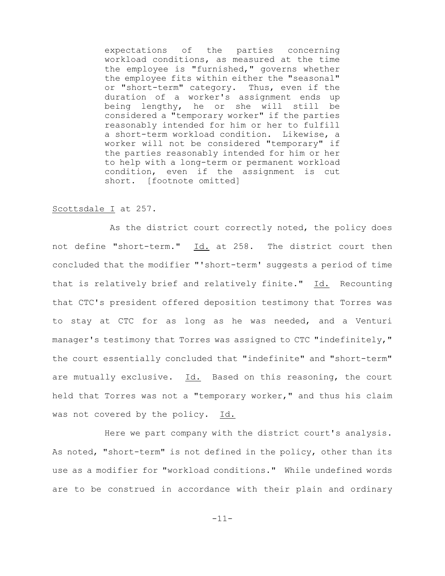expectations of the parties concerning workload conditions, as measured at the time the employee is "furnished," governs whether the employee fits within either the "seasonal" or "short-term" category. Thus, even if the duration of a worker's assignment ends up being lengthy, he or she will still be considered a "temporary worker" if the parties reasonably intended for him or her to fulfill a short-term workload condition. Likewise, a worker will not be considered "temporary" if the parties reasonably intended for him or her to help with a long-term or permanent workload condition, even if the assignment is cut short. [footnote omitted]

## Scottsdale I at 257.

 As the district court correctly noted, the policy does not define "short-term." Id. at 258. The district court then concluded that the modifier "'short-term' suggests a period of time that is relatively brief and relatively finite." Id. Recounting that CTC's president offered deposition testimony that Torres was to stay at CTC for as long as he was needed, and a Venturi manager's testimony that Torres was assigned to CTC "indefinitely," the court essentially concluded that "indefinite" and "short-term" are mutually exclusive. Id. Based on this reasoning, the court held that Torres was not a "temporary worker," and thus his claim was not covered by the policy. Id.

Here we part company with the district court's analysis. As noted, "short-term" is not defined in the policy, other than its use as a modifier for "workload conditions." While undefined words are to be construed in accordance with their plain and ordinary

-11-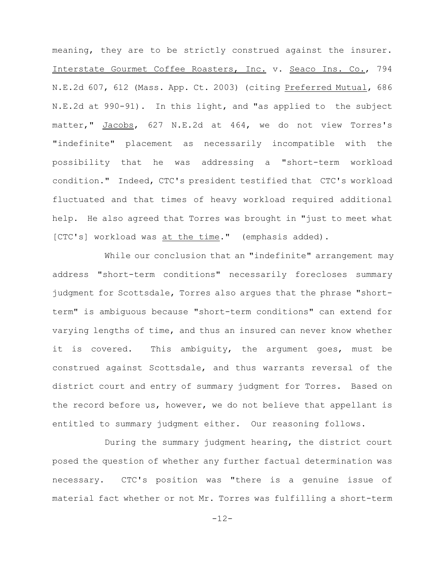meaning, they are to be strictly construed against the insurer. Interstate Gourmet Coffee Roasters, Inc. v. Seaco Ins. Co., 794 N.E.2d 607, 612 (Mass. App. Ct. 2003) (citing Preferred Mutual, 686 N.E.2d at 990-91). In this light, and "as applied to the subject matter," Jacobs, 627 N.E.2d at 464, we do not view Torres's "indefinite" placement as necessarily incompatible with the possibility that he was addressing a "short-term workload condition." Indeed, CTC's president testified that CTC's workload fluctuated and that times of heavy workload required additional help. He also agreed that Torres was brought in "just to meet what [CTC's] workload was at the time." (emphasis added).

While our conclusion that an "indefinite" arrangement may address "short-term conditions" necessarily forecloses summary judgment for Scottsdale, Torres also argues that the phrase "shortterm" is ambiguous because "short-term conditions" can extend for varying lengths of time, and thus an insured can never know whether it is covered. This ambiguity, the argument goes, must be construed against Scottsdale, and thus warrants reversal of the district court and entry of summary judgment for Torres. Based on the record before us, however, we do not believe that appellant is entitled to summary judgment either. Our reasoning follows.

During the summary judgment hearing, the district court posed the question of whether any further factual determination was necessary. CTC's position was "there is a genuine issue of material fact whether or not Mr. Torres was fulfilling a short-term

-12-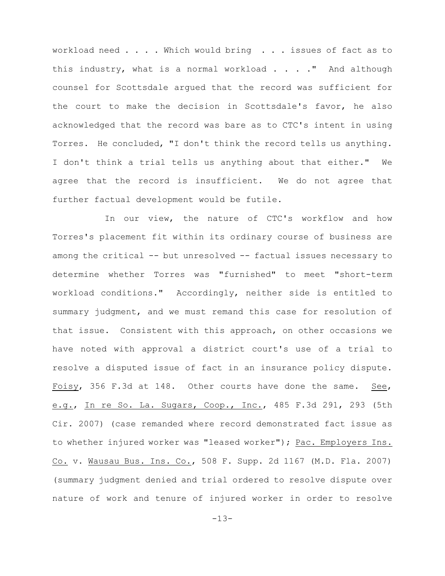workload need . . . . Which would bring . . . issues of fact as to this industry, what is a normal workload . . . . " And although counsel for Scottsdale argued that the record was sufficient for the court to make the decision in Scottsdale's favor, he also acknowledged that the record was bare as to CTC's intent in using Torres. He concluded, "I don't think the record tells us anything. I don't think a trial tells us anything about that either." We agree that the record is insufficient. We do not agree that further factual development would be futile.

In our view, the nature of CTC's workflow and how Torres's placement fit within its ordinary course of business are among the critical -- but unresolved -- factual issues necessary to determine whether Torres was "furnished" to meet "short-term workload conditions." Accordingly, neither side is entitled to summary judgment, and we must remand this case for resolution of that issue. Consistent with this approach, on other occasions we have noted with approval a district court's use of a trial to resolve a disputed issue of fact in an insurance policy dispute. Foisy, 356 F.3d at 148. Other courts have done the same. See, e.g., In re So. La. Sugars, Coop., Inc., 485 F.3d 291, 293 (5th Cir. 2007) (case remanded where record demonstrated fact issue as to whether injured worker was "leased worker"); Pac. Employers Ins. Co. v. Wausau Bus. Ins. Co., 508 F. Supp. 2d 1167 (M.D. Fla. 2007) (summary judgment denied and trial ordered to resolve dispute over nature of work and tenure of injured worker in order to resolve

-13-